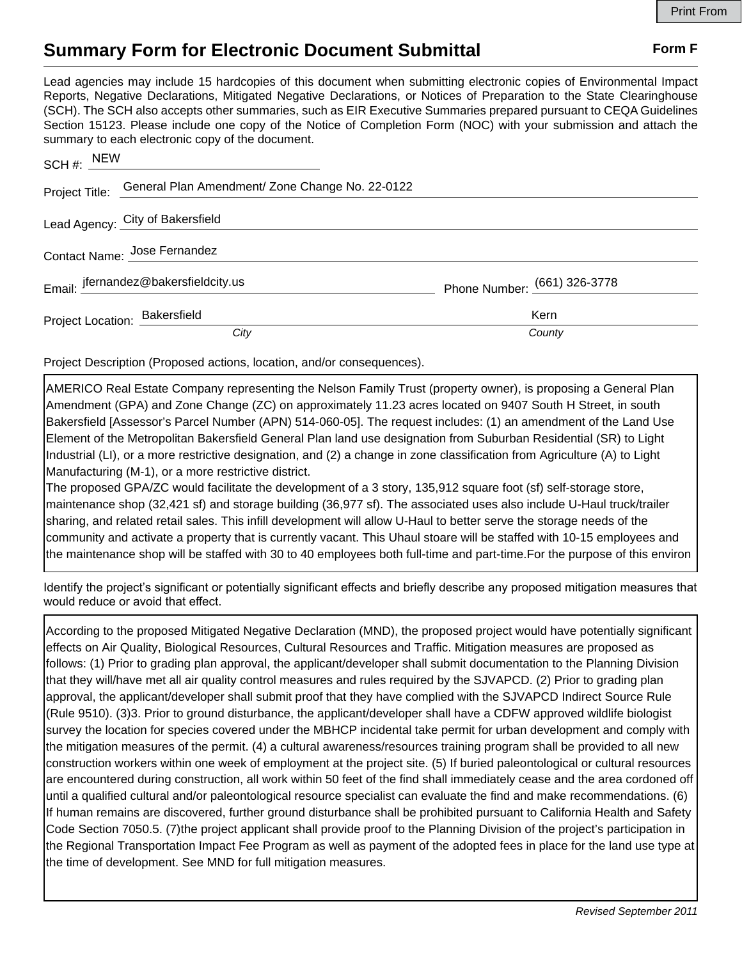## **Summary Form for Electronic Document Submittal Form F Form F**

Lead agencies may include 15 hardcopies of this document when submitting electronic copies of Environmental Impact Reports, Negative Declarations, Mitigated Negative Declarations, or Notices of Preparation to the State Clearinghouse (SCH). The SCH also accepts other summaries, such as EIR Executive Summaries prepared pursuant to CEQA Guidelines Section 15123. Please include one copy of the Notice of Completion Form (NOC) with your submission and attach the summary to each electronic copy of the document.

| SCH#: NEW                     |                                                                |                              |
|-------------------------------|----------------------------------------------------------------|------------------------------|
|                               | Project Title: General Plan Amendment/ Zone Change No. 22-0122 |                              |
|                               | Lead Agency: City of Bakersfield                               |                              |
| Contact Name: Jose Fernandez  |                                                                |                              |
|                               | Email: jfernandez@bakersfieldcity.us                           | Phone Number: (661) 326-3778 |
| Project Location: Bakersfield |                                                                | <b>Kern</b>                  |
|                               | City                                                           | County                       |

Project Description (Proposed actions, location, and/or consequences).

AMERICO Real Estate Company representing the Nelson Family Trust (property owner), is proposing a General Plan Amendment (GPA) and Zone Change (ZC) on approximately 11.23 acres located on 9407 South H Street, in south Bakersfield [Assessor's Parcel Number (APN) 514-060-05]. The request includes: (1) an amendment of the Land Use Element of the Metropolitan Bakersfield General Plan land use designation from Suburban Residential (SR) to Light Industrial (LI), or a more restrictive designation, and (2) a change in zone classification from Agriculture (A) to Light Manufacturing (M-1), or a more restrictive district.

The proposed GPA/ZC would facilitate the development of a 3 story, 135,912 square foot (sf) self-storage store, maintenance shop (32,421 sf) and storage building (36,977 sf). The associated uses also include U-Haul truck/trailer sharing, and related retail sales. This infill development will allow U-Haul to better serve the storage needs of the community and activate a property that is currently vacant. This Uhaul stoare will be staffed with 10-15 employees and the maintenance shop will be staffed with 30 to 40 employees both full-time and part-time.For the purpose of this environ

Identify the project's significant or potentially significant effects and briefly describe any proposed mitigation measures that would reduce or avoid that effect.

According to the proposed Mitigated Negative Declaration (MND), the proposed project would have potentially significant effects on Air Quality, Biological Resources, Cultural Resources and Traffic. Mitigation measures are proposed as follows: (1) Prior to grading plan approval, the applicant/developer shall submit documentation to the Planning Division that they will/have met all air quality control measures and rules required by the SJVAPCD. (2) Prior to grading plan approval, the applicant/developer shall submit proof that they have complied with the SJVAPCD Indirect Source Rule (Rule 9510). (3)3. Prior to ground disturbance, the applicant/developer shall have a CDFW approved wildlife biologist survey the location for species covered under the MBHCP incidental take permit for urban development and comply with the mitigation measures of the permit. (4) a cultural awareness/resources training program shall be provided to all new construction workers within one week of employment at the project site. (5) If buried paleontological or cultural resources are encountered during construction, all work within 50 feet of the find shall immediately cease and the area cordoned off until a qualified cultural and/or paleontological resource specialist can evaluate the find and make recommendations. (6) If human remains are discovered, further ground disturbance shall be prohibited pursuant to California Health and Safety Code Section 7050.5. (7)the project applicant shall provide proof to the Planning Division of the project's participation in the Regional Transportation Impact Fee Program as well as payment of the adopted fees in place for the land use type at the time of development. See MND for full mitigation measures.